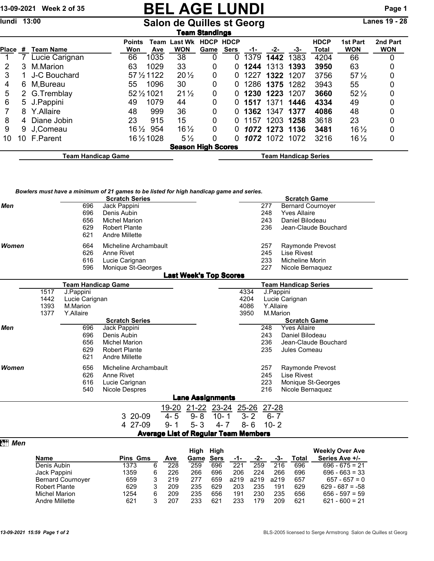## 13-09-2021 Week 2 of 35 **BEL AGE LUNDI** Page 1

## Salon de Quilles st Georg

| Team Standings |     |                    |                      |                       |                              |                     |                             |      |                |      |                      |                               |                        |
|----------------|-----|--------------------|----------------------|-----------------------|------------------------------|---------------------|-----------------------------|------|----------------|------|----------------------|-------------------------------|------------------------|
| <b>Place</b>   | #   | <b>Team Name</b>   | <b>Points</b><br>Won | Team<br>Ave           | <b>Last Wk</b><br><b>WON</b> | <b>HDCP</b><br>Game | <b>HDCP</b><br><b>Sers</b>  | -1-  | -2-            | -3-  | <b>HDCP</b><br>Total | <b>1st Part</b><br><b>WON</b> | 2nd Part<br><b>WON</b> |
|                |     | Lucie Carignan     | 66                   | 1035                  | 38                           | 0                   | 0                           | 1379 | 1442           | 1383 | 4204                 | 66                            | 0                      |
|                | 3   | M.Marion           | 63                   | 1029                  | 33                           | 0                   | 0                           | 1244 | 1313           | 1393 | 3950                 | 63                            | 0                      |
| 3              |     | J-C Bouchard       |                      | 57 $\frac{1}{2}$ 1122 | $20\frac{1}{2}$              | 0                   | O                           | 1227 | 1322 1207      |      | 3756                 | $57\frac{1}{2}$               | 0                      |
| 4              | 6   | M,Bureau           | 55                   | 1096                  | 30                           | 0                   | 0                           |      | 1286 1375 1282 |      | 3943                 | 55                            | 0                      |
| 5              |     | 2 G.Tremblay       |                      | 52 1/2 1021           | $21\frac{1}{2}$              | 0                   | 0                           | 1230 | 1223           | 1207 | 3660                 | $52\frac{1}{2}$               | 0                      |
| 6              |     | 5 J.Pappini        | 49                   | 1079                  | 44                           | 0                   | 0                           | 1517 | 1371           | 1446 | 4334                 | 49                            | 0                      |
|                | 8   | Y.Allaire          | 48                   | 999                   | 36                           | 0                   | O                           | 1362 | 1347           | 1377 | 4086                 | 48                            | 0                      |
| 8              | 4   | Diane Jobin        | 23                   | 915                   | 15                           | 0                   | 0                           | 1157 | 1203           | 1258 | 3618                 | 23                            | 0                      |
| 9              | 9   | J.Comeau           | $16\frac{1}{2}$      | 954                   | $16\frac{1}{2}$              | 0                   | 0                           |      | 1072 1273 1136 |      | 3481                 | $16\frac{1}{2}$               | 0                      |
| 10             | 10. | F.Parent           |                      | 16 1/2 10 28          | $5\frac{1}{2}$               | 0                   | O                           |      | 1072 1072 1072 |      | 3216                 | $16\frac{1}{2}$               | 0                      |
|                |     |                    |                      |                       | <b>Season High Scores</b>    |                     |                             |      |                |      |                      |                               |                        |
|                |     | Team Handicap Game |                      |                       |                              |                     | <b>Team Handicap Series</b> |      |                |      |                      |                               |                        |

*Bowlers must have a minimum of 21 games to be listed for high handicap game and series.*

|            |              |                           | <b>Scratch Series</b> |                                             |                               |                   |              |           | <b>Scratch Game</b>                   |  |
|------------|--------------|---------------------------|-----------------------|---------------------------------------------|-------------------------------|-------------------|--------------|-----------|---------------------------------------|--|
| <b>Men</b> |              | 696                       | Jack Pappini          |                                             |                               |                   |              | 277       | <b>Bernard Cournoyer</b>              |  |
|            |              | 696                       | Denis Aubin           |                                             |                               |                   |              | 248       | <b>Yves Allaire</b>                   |  |
|            |              | 656                       | <b>Michel Marion</b>  |                                             |                               |                   |              | 243       | Daniel Bilodeau                       |  |
|            |              | 629                       | <b>Robert Plante</b>  |                                             |                               |                   |              | 236       | Jean-Claude Bouchard                  |  |
|            |              | 621                       | <b>Andre Millette</b> |                                             |                               |                   |              |           |                                       |  |
| Women      |              | 664                       | Micheline Archambault |                                             |                               |                   |              | 257       | Raymonde Prevost                      |  |
|            |              | 626                       | Anne Rivet            |                                             |                               |                   |              | 245       | <b>Lise Rivest</b>                    |  |
|            |              | 616                       | Lucie Carignan        |                                             |                               |                   |              | 233       | Micheline Morin                       |  |
|            |              | 596                       | Monique St-Georges    |                                             |                               |                   |              | 227       | Nicole Bernaquez                      |  |
|            |              |                           |                       |                                             | <b>Last Week's Top Scores</b> |                   |              |           |                                       |  |
|            |              | <b>Team Handicap Game</b> |                       |                                             |                               |                   |              |           | <b>Team Handicap Series</b>           |  |
|            | 1517         | J.Pappini                 |                       |                                             |                               |                   | 4334         |           | J.Pappini                             |  |
|            | 1442         | Lucie Carignan            |                       |                                             |                               |                   | 4204         |           | Lucie Carignan                        |  |
|            | 1393<br>1377 | M.Marion<br>Y.Allaire     |                       |                                             |                               |                   | 4086<br>3950 | Y.Allaire | M.Marion                              |  |
|            |              |                           | <b>Scratch Series</b> |                                             |                               |                   |              |           | <b>Scratch Game</b>                   |  |
| Men        |              | 696                       | Jack Pappini          |                                             |                               |                   |              | 248       | <b>Yves Allaire</b>                   |  |
|            |              | 696                       | Denis Aubin           |                                             |                               |                   |              | 243       | Daniel Bilodeau                       |  |
|            |              | 656                       | <b>Michel Marion</b>  |                                             |                               |                   |              | 236       | Jean-Claude Bouchard                  |  |
|            |              | 629                       | <b>Robert Plante</b>  |                                             |                               |                   |              | 235       | Jules Comeau                          |  |
|            |              | 621                       | <b>Andre Millette</b> |                                             |                               |                   |              |           |                                       |  |
| Women      |              | 656                       | Micheline Archambault |                                             |                               |                   |              | 257       | Raymonde Prevost                      |  |
|            |              | 626                       | Anne Rivet            |                                             |                               |                   |              | 245       | <b>Lise Rivest</b>                    |  |
|            |              | 616                       | Lucie Carignan        |                                             |                               |                   |              | 223       | Monique St-Georges                    |  |
|            |              | 540                       | <b>Nicole Despres</b> |                                             |                               |                   |              | 216       | Nicole Bernaquez                      |  |
|            |              |                           |                       |                                             | <b>Lane Assignments</b>       |                   |              |           |                                       |  |
|            |              |                           |                       | 19-20                                       |                               | 21-22 23-24 25-26 |              | 27-28     |                                       |  |
|            |              |                           | 20-09<br>3            | $4 - 5$                                     | $9 - 8$                       | $10 - 1$          | $3 - 2$      | $6 - 7$   |                                       |  |
|            |              |                           | 4 27-09               | $9 - 1$                                     | $5 - 3$                       | $4 - 7$           | $8 - 6$      | $10 - 2$  |                                       |  |
|            |              |                           |                       | <b>Average List of Regular Team Members</b> |                               |                   |              |           |                                       |  |
| Mem™ Mem   |              |                           |                       |                                             |                               |                   |              |           |                                       |  |
|            |              |                           |                       |                                             | High High                     |                   |              |           | <b>Weekly Over Ave</b>                |  |
|            | <b>Name</b>  |                           | <b>Pins Gms</b>       | Ave                                         | Game                          | <b>Sers</b>       | -1-          | -2-       | Series Ave +/-<br><b>Total</b><br>-3- |  |
|            | Denis Aubin  |                           | 1373<br>6             | 228                                         | 259                           | 696               | 221          | 259       | 216<br>696<br>$696 - 675 = 21$        |  |

Jack Pappini 1359 6 226 266 696 206 224 266 696 696 - 663 = 33

Robert Plante 629 3 209 235 629 203 235 191 629 629 - 687 = -58 Michel Marion 1254 6 209 235 656 191 230 235 656 656 - 597 = 59

Andre Millette 621 3 207 233 621 233 179 209 621 621 - 600 = 21

Bernard Cournoyer 659 3 219 277 659 a219 a219 a219 657<br>Robert Plante 629 3 209 235 629 203 235 191 629